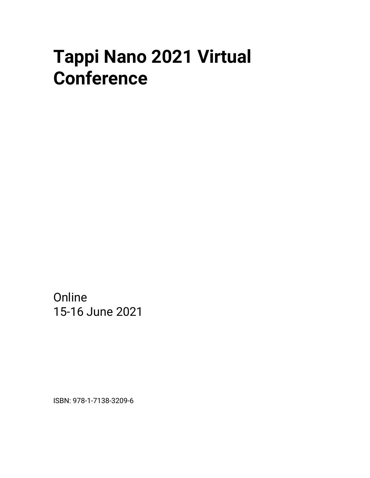# **Tappi Nano 2021 Virtual Conference**

**Online** 15-16 June 2021

ISBN: 978-1-7138-3209-6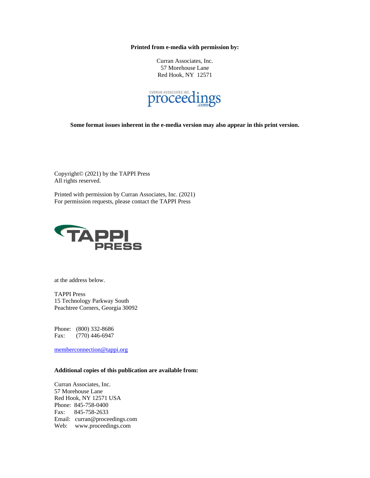**Printed from e-media with permission by:**

Curran Associates, Inc. 57 Morehouse Lane Red Hook, NY 12571



**Some format issues inherent in the e-media version may also appear in this print version.**

Copyright© (2021) by the TAPPI Press All rights reserved.

Printed with permission by Curran Associates, Inc. (2021) For permission requests, please contact the TAPPI Press



at the address below.

TAPPI Press 15 Technology Parkway South Peachtree Corners, Georgia 30092

Phone: (800) 332-8686 Fax: (770) 446-6947

[memberconnection@tappi.org](mailto:memberconnection@tappi.org)

#### **Additional copies of this publication are available from:**

Curran Associates, Inc. 57 Morehouse Lane Red Hook, NY 12571 USA Phone: 845-758-0400 Fax: 845-758-2633 Email: curran@proceedings.com Web: www.proceedings.com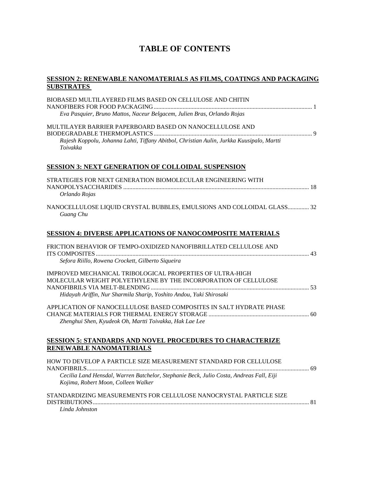## **TABLE OF CONTENTS**

#### **SESSION 2: RENEWABLE NANOMATERIALS AS FILMS, COATINGS AND PACKAGING SUBSTRATES**

| BIOBASED MULTILAYERED FILMS BASED ON CELLULOSE AND CHITIN                                                                      |  |
|--------------------------------------------------------------------------------------------------------------------------------|--|
| Eva Pasquier, Bruno Mattos, Naceur Belgacem, Julien Bras, Orlando Rojas                                                        |  |
|                                                                                                                                |  |
| MULTILAYER BARRIER PAPERBOARD BASED ON NANOCELLULOSE AND                                                                       |  |
| Rajesh Koppolu, Johanna Lahti, Tiffany Abitbol, Christian Aulin, Jurkka Kuusipalo, Martti<br>Toivakka                          |  |
| <b>SESSION 3: NEXT GENERATION OF COLLOIDAL SUSPENSION</b>                                                                      |  |
| STRATEGIES FOR NEXT GENERATION BIOMOLECULAR ENGINEERING WITH                                                                   |  |
| Orlando Rojas                                                                                                                  |  |
| NANOCELLULOSE LIQUID CRYSTAL BUBBLES, EMULSIONS AND COLLOIDAL GLASS 32<br>Guang Chu                                            |  |
| <b>SESSION 4: DIVERSE APPLICATIONS OF NANOCOMPOSITE MATERIALS</b>                                                              |  |
| FRICTION BEHAVIOR OF TEMPO-OXIDIZED NANOFIBRILLATED CELLULOSE AND                                                              |  |
| Sefora Riillo, Rowena Crockett, Gilberto Siqueira                                                                              |  |
| IMPROVED MECHANICAL TRIBOLOGICAL PROPERTIES OF ULTRA-HIGH                                                                      |  |
| MOLECULAR WEIGHT POLYETHYLENE BY THE INCORPORATION OF CELLULOSE                                                                |  |
| Hidayah Ariffin, Nur Sharmila Sharip, Yoshito Andou, Yuki Shirosaki                                                            |  |
| APPLICATION OF NANOCELLULOSE BASED COMPOSITES IN SALT HYDRATE PHASE                                                            |  |
| Zhenghui Shen, Kyudeok Oh, Martti Toivakka, Hak Lae Lee                                                                        |  |
| <b>SESSION 5: STANDARDS AND NOVEL PROCEDURES TO CHARACTERIZE</b>                                                               |  |
| RENEWABLE NANOMATERIALS                                                                                                        |  |
| HOW TO DEVELOP A PARTICLE SIZE MEASUREMENT STANDARD FOR CELLULOSE                                                              |  |
| Cecilia Land Hensdal, Warren Batchelor, Stephanie Beck, Julio Costa, Andreas Fall, Eiji<br>Kojima, Robert Moon, Colleen Walker |  |
| STANDARDIZING MEASUREMENTS FOR CELLULOSE NANOCRYSTAL PARTICLE SIZE                                                             |  |
| Linda Johnston                                                                                                                 |  |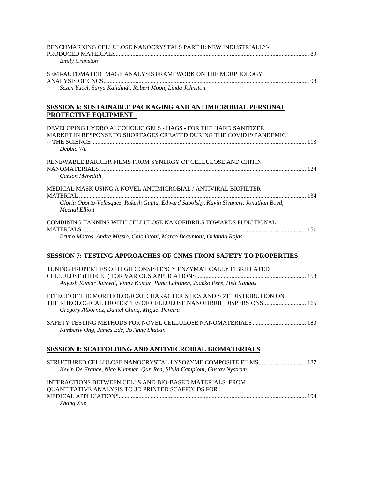| BENCHMARKING CELLULOSE NANOCRYSTALS PART II: NEW INDUSTRIALLY-<br><b>Emily Cranston</b>                                                                                           |  |
|-----------------------------------------------------------------------------------------------------------------------------------------------------------------------------------|--|
| SEMI-AUTOMATED IMAGE ANALYSIS FRAMEWORK ON THE MORPHOLOGY                                                                                                                         |  |
| Sezen Yucel, Surya Kalidindi, Robert Moon, Linda Johnston<br><b>SESSION 6: SUSTAINABLE PACKAGING AND ANTIMICROBIAL PERSONAL</b><br><b>PROTECTIVE EQUIPMENT</b>                    |  |
| DEVELOPING HYDRO ALCOHOLIC GELS - HAGS - FOR THE HAND SANITIZER<br>MARKET IN RESPONSE TO SHORTAGES CREATED DURING THE COVID19 PANDEMIC<br>Debbie Wu                               |  |
| RENEWABLE BARRIER FILMS FROM SYNERGY OF CELLULOSE AND CHITIN<br>Carson Meredith                                                                                                   |  |
| MEDICAL MASK USING A NOVEL ANTIMICROBIAL / ANTIVIRAL BIOFILTER<br>Gloria Oporto-Velasquez, Rakesh Gupta, Edward Sabolsky, Kavin Sivaneri, Jonathan Boyd,<br><b>Meenal Elliott</b> |  |
| COMBINING TANNINS WITH CELLULOSE NANOFIBRILS TOWARDS FUNCTIONAL<br>Bruno Mattos, Andre Missio, Caio Otoni, Marco Beaumont, Orlando Rojas                                          |  |
| <b>SESSION 7: TESTING APPROACHES OF CNMS FROM SAFETY TO PROPERTIES</b>                                                                                                            |  |
| TUNING PROPERTIES OF HIGH CONSISTENCY ENZYMATICALLY FIBRILLATED<br>Aayush Kumar Jaiswal, Vinay Kumar, Panu Lahtinen, Jaakko Pere, Heli Kangas                                     |  |
| EFFECT OF THE MORPHOLOGICAL CHARACTERISTICS AND SIZE DISTRIBUTION ON<br>Gregory Albornoz, Daniel Ching, Miguel Pereira                                                            |  |
| Kimberly Ong, James Ede, Jo Anne Shatkin                                                                                                                                          |  |
| <b>SESSION 8: SCAFFOLDING AND ANTIMICROBIAL BIOMATERIALS</b>                                                                                                                      |  |
| Kevin De France, Nico Kummer, Qun Ren, Silvia Campioni, Gustav Nystrom                                                                                                            |  |
| INTERACTIONS BETWEEN CELLS AND BIO-BASED MATERIALS: FROM<br>QUANTITATIVE ANALYSIS TO 3D PRINTED SCAFFOLDS FOR<br>Zhang Xue                                                        |  |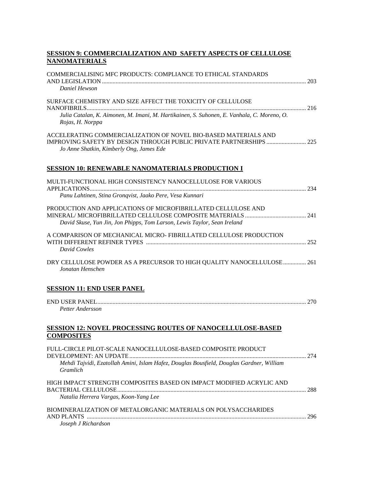## **SESSION 9: COMMERCIALIZATION AND SAFETY ASPECTS OF CELLULOSE NANOMATERIALS**

| <b>COMMERCIALISING MFC PRODUCTS: COMPLIANCE TO ETHICAL STANDARDS</b>                                                                      |  |
|-------------------------------------------------------------------------------------------------------------------------------------------|--|
| Daniel Hewson                                                                                                                             |  |
| SURFACE CHEMISTRY AND SIZE AFFECT THE TOXICITY OF CELLULOSE                                                                               |  |
| Julia Catalan, K. Aimonen, M. Imani, M. Hartikainen, S. Suhonen, E. Vanhala, C. Moreno, O.<br>Rojas, H. Norppa                            |  |
| ACCELERATING COMMERCIALIZATION OF NOVEL BIO-BASED MATERIALS AND<br>Jo Anne Shatkin, Kimberly Ong, James Ede                               |  |
| <b>SESSION 10: RENEWABLE NANOMATERIALS PRODUCTION I</b>                                                                                   |  |
| MULTI-FUNCTIONAL HIGH CONSISTENCY NANOCELLULOSE FOR VARIOUS<br>Panu Lahtinen, Stina Gronqvist, Jaako Pere, Vesa Kunnari                   |  |
| PRODUCTION AND APPLICATIONS OF MICROFIBRILLATED CELLULOSE AND<br>David Skuse, Yun Jin, Jon Phipps, Tom Larson, Lewis Taylor, Sean Ireland |  |
| A COMPARISON OF MECHANICAL MICRO- FIBRILLATED CELLULOSE PRODUCTION<br>David Cowles                                                        |  |
| DRY CELLULOSE POWDER AS A PRECURSOR TO HIGH QUALITY NANOCELLULOSE  261<br>Jonatan Henschen                                                |  |
| <b>SESSION 11: END USER PANEL</b>                                                                                                         |  |
| Petter Andersson                                                                                                                          |  |
| <b>SESSION 12: NOVEL PROCESSING ROUTES OF NANOCELLULOSE-BASED</b><br><b>COMPOSITES</b>                                                    |  |
| FULL-CIRCLE PILOT-SCALE NANOCELLULOSE-BASED COMPOSITE PRODUCT                                                                             |  |
| Mehdi Tajvidi, Ezatollah Amini, Islam Hafez, Douglas Bousfield, Douglas Gardner, William<br>Gramlich                                      |  |
| HIGH IMPACT STRENGTH COMPOSITES BASED ON IMPACT MODIFIED ACRYLIC AND                                                                      |  |
| Natalia Herrera Vargas, Koon-Yang Lee                                                                                                     |  |
| BIOMINERALIZATION OF METALORGANIC MATERIALS ON POLYSACCHARIDES<br>Joseph J Richardson                                                     |  |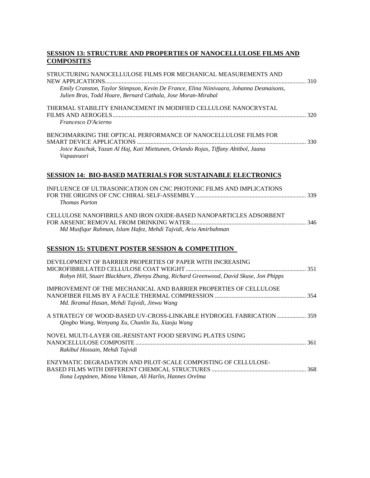## **SESSION 13: STRUCTURE AND PROPERTIES OF NANOCELLULOSE FILMS AND COMPOSITES**

| STRUCTURING NANOCELLULOSE FILMS FOR MECHANICAL MEASUREMENTS AND                                                                                                     |  |
|---------------------------------------------------------------------------------------------------------------------------------------------------------------------|--|
| Emily Cranston, Taylor Stimpson, Kevin De France, Elina Niinivaara, Johanna Desmaisons,<br>Julien Bras, Todd Hoare, Bernard Cathala, Jose Moran-Mirabal             |  |
| THERMAL STABILITY ENHANCEMENT IN MODIFIED CELLULOSE NANOCRYSTAL<br>Francesco D'Acierno                                                                              |  |
| BENCHMARKING THE OPTICAL PERFORMANCE OF NANOCELLULOSE FILMS FOR<br>Joice Kaschuk, Yazan Al Haj, Kati Miettunen, Orlando Rojas, Tiffany Abitbol, Jaana<br>Vapaavuori |  |
| <b>SESSION 14: BIO-BASED MATERIALS FOR SUSTAINABLE ELECTRONICS</b>                                                                                                  |  |
| INFLUENCE OF ULTRASONICATION ON CNC PHOTONIC FILMS AND IMPLICATIONS<br><b>Thomas Parton</b>                                                                         |  |
| CELLULOSE NANOFIBRILS AND IRON OXIDE-BASED NANOPARTICLES ADSORBENT<br>Md Musfiqur Rahman, Islam Hafez, Mehdi Tajvidi, Aria Amirbahman                               |  |
| <b>SESSION 15: STUDENT POSTER SESSION &amp; COMPETITION</b>                                                                                                         |  |
| DEVELOPMENT OF BARRIER PROPERTIES OF PAPER WITH INCREASING<br>Robyn Hill, Stuart Blackburn, Zhenyu Zhang, Richard Greenwood, David Skuse, Jon Phipps                |  |
| IMPROVEMENT OF THE MECHANICAL AND BARRIER PROPERTIES OF CELLULOSE<br>Md. Ikramul Hasan, Mehdi Tajvidi, Jinwu Wang                                                   |  |
| A STRATEGY OF WOOD-BASED UV-CROSS-LINKABLE HYDROGEL FABRICATION  359<br>Qingbo Wang, Wenyang Xu, Chunlin Xu, Xiaoju Wang                                            |  |
| NOVEL MULTI-LAYER OIL-RESISTANT FOOD SERVING PLATES USING<br>Rakibul Hossain, Mehdi Tajvidi                                                                         |  |
| ENZYMATIC DEGRADATION AND PILOT-SCALE COMPOSTING OF CELLULOSE-<br>Ilona Leppänen, Minna Vikman, Ali Harlin, Hannes Orelma                                           |  |